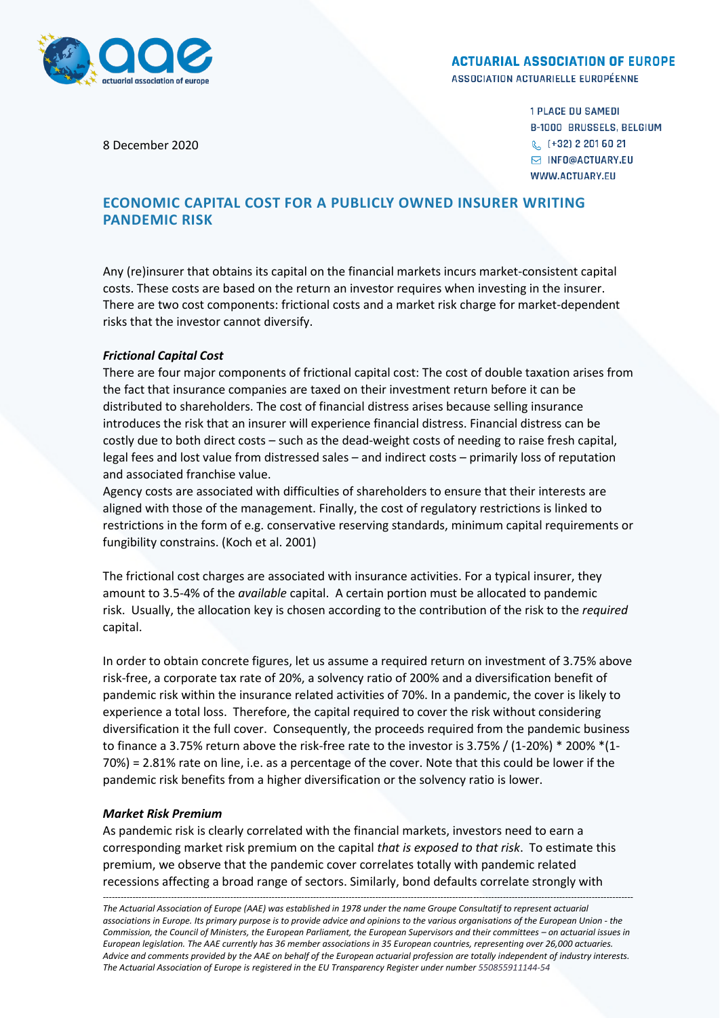

#### **ACTUARIAL ASSOCIATION OF EUROPE**

ASSOCIATION ACTUARIELLE EUROPÉENNE

8 December 2020

**1 PLACE DU SAMEDI B-1000 BRUSSELS, BELGIUM** & (+32) 2 201 60 21 M INFO@ACTUARY.EU WWW.ACTUARY.EU

# **ECONOMIC CAPITAL COST FOR A PUBLICLY OWNED INSURER WRITING PANDEMIC RISK**

Any (re)insurer that obtains its capital on the financial markets incurs market-consistent capital costs. These costs are based on the return an investor requires when investing in the insurer. There are two cost components: frictional costs and a market risk charge for market-dependent risks that the investor cannot diversify.

### *Frictional Capital Cost*

There are four major components of frictional capital cost: The cost of double taxation arises from the fact that insurance companies are taxed on their investment return before it can be distributed to shareholders. The cost of financial distress arises because selling insurance introduces the risk that an insurer will experience financial distress. Financial distress can be costly due to both direct costs – such as the dead-weight costs of needing to raise fresh capital, legal fees and lost value from distressed sales – and indirect costs – primarily loss of reputation and associated franchise value.

Agency costs are associated with difficulties of shareholders to ensure that their interests are aligned with those of the management. Finally, the cost of regulatory restrictions is linked to restrictions in the form of e.g. conservative reserving standards, minimum capital requirements or fungibility constrains. (Koch et al. 2001)

The frictional cost charges are associated with insurance activities. For a typical insurer, they amount to 3.5-4% of the *available* capital. A certain portion must be allocated to pandemic risk. Usually, the allocation key is chosen according to the contribution of the risk to the *required* capital.

In order to obtain concrete figures, let us assume a required return on investment of 3.75% above risk-free, a corporate tax rate of 20%, a solvency ratio of 200% and a diversification benefit of pandemic risk within the insurance related activities of 70%. In a pandemic, the cover is likely to experience a total loss. Therefore, the capital required to cover the risk without considering diversification it the full cover. Consequently, the proceeds required from the pandemic business to finance a 3.75% return above the risk-free rate to the investor is 3.75% / (1-20%) \* 200% \*(1- 70%) = 2.81% rate on line, i.e. as a percentage of the cover. Note that this could be lower if the pandemic risk benefits from a higher diversification or the solvency ratio is lower.

### *Market Risk Premium*

As pandemic risk is clearly correlated with the financial markets, investors need to earn a corresponding market risk premium on the capital *that is exposed to that risk*. To estimate this premium, we observe that the pandemic cover correlates totally with pandemic related recessions affecting a broad range of sectors. Similarly, bond defaults correlate strongly with

*----------------------------------------------------------------------------------------------------------------------------------------------------------------------------------- The Actuarial Association of Europe (AAE) was established in 1978 under the name Groupe Consultatif to represent actuarial associations in Europe. Its primary purpose is to provide advice and opinions to the various organisations of the European Union - the Commission, the Council of Ministers, the European Parliament, the European Supervisors and their committees – on actuarial issues in European legislation. The AAE currently has 36 member associations in 35 European countries, representing over 26,000 actuaries. Advice and comments provided by the AAE on behalf of the European actuarial profession are totally independent of industry interests. The Actuarial Association of Europe is registered in the EU Transparency Register under number 550855911144-54*